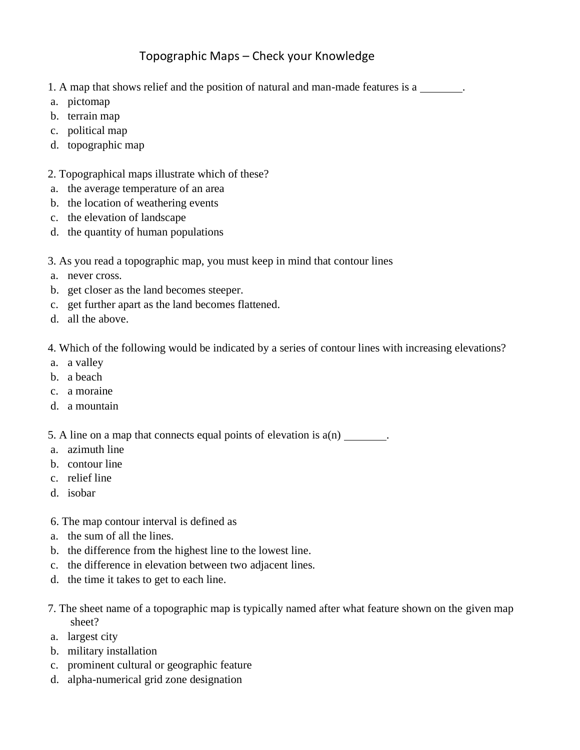## Topographic Maps – Check your Knowledge

- 1. A map that shows relief and the position of natural and man-made features is a.
- a. pictomap
- b. terrain map
- c. political map
- d. topographic map

## 2. Topographical maps illustrate which of these?

- a. the average temperature of an area
- b. the location of weathering events
- c. the elevation of landscape
- d. the quantity of human populations
- 3. As you read a topographic map, you must keep in mind that contour lines
- a. never cross.
- b. get closer as the land becomes steeper.
- c. get further apart as the land becomes flattened.
- d. all the above.

4. Which of the following would be indicated by a series of contour lines with increasing elevations?

- a. a valley
- b. a beach
- c. a moraine
- d. a mountain

5. A line on a map that connects equal points of elevation is a(n).

- a. azimuth line
- b. contour line
- c. relief line
- d. isobar
- 6. The map contour interval is defined as
- a. the sum of all the lines.
- b. the difference from the highest line to the lowest line.
- c. the difference in elevation between two adjacent lines.
- d. the time it takes to get to each line.
- 7. The sheet name of a topographic map is typically named after what feature shown on the given map sheet?
- a. largest city
- b. military installation
- c. prominent cultural or geographic feature
- d. alpha-numerical grid zone designation